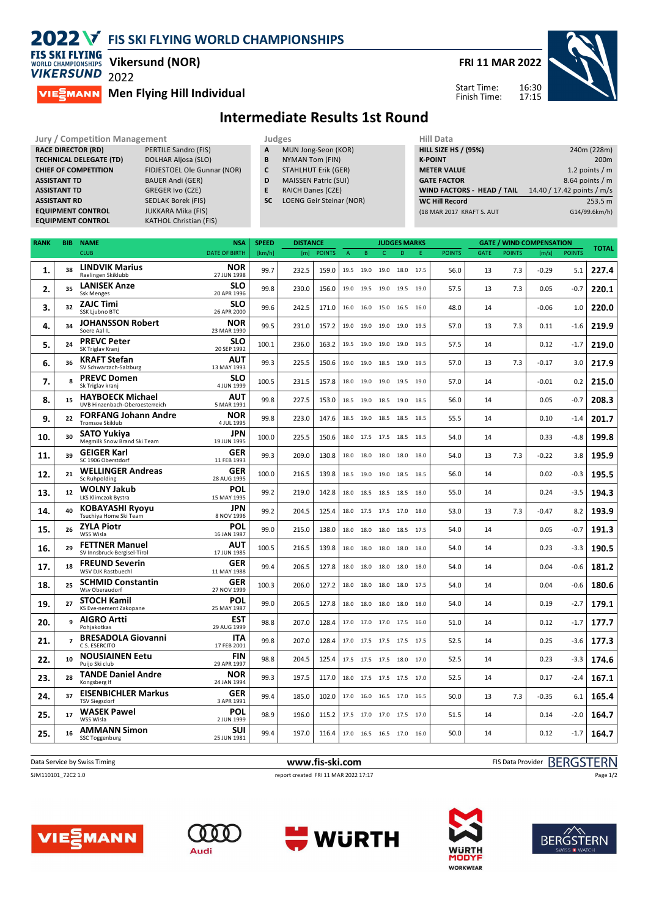## **2022 V** FIS SKI FLYING WORLD CHAMPIONSHIPS

**FIS SKI FLYING Vikersund (NOR) WORLD CHAMPIONSHIPS VIKERSUND** 2022

**MIESMANN** Men Flying Hill Individual

**FRI 11 MAR 2022**

Start Time: Finish Time: 16:30 17:15



## **Intermediate Results 1st Round**

| <b>Jury / Competition Management</b> |                               |           | Judges                      |  |                    |  |  |  |
|--------------------------------------|-------------------------------|-----------|-----------------------------|--|--------------------|--|--|--|
| <b>RACE DIRECTOR (RD)</b>            | PERTILE Sandro (FIS)          | A         | MUN Jong-Seon (KOR)         |  | <b>HILL SIZE I</b> |  |  |  |
| <b>TECHNICAL DELEGATE (TD)</b>       | <b>DOLHAR Aljosa (SLO)</b>    | B         | NYMAN Tom (FIN)             |  | <b>K-POINT</b>     |  |  |  |
| <b>CHIEF OF COMPETITION</b>          | FIDJESTOEL Ole Gunnar (NOR)   | C         | <b>STAHLHUT Erik (GER)</b>  |  | <b>METER VA</b>    |  |  |  |
| <b>ASSISTANT TD</b>                  | <b>BAUER Andi (GER)</b>       | D         | <b>MAISSEN Patric (SUI)</b> |  | <b>GATE FACT</b>   |  |  |  |
| <b>ASSISTANT TD</b>                  | <b>GREGER Ivo (CZE)</b>       | E         | <b>RAICH Danes (CZE)</b>    |  | <b>WIND FAC</b>    |  |  |  |
| <b>ASSISTANT RD</b>                  | <b>SEDLAK Borek (FIS)</b>     | <b>SC</b> | LOENG Geir Steinar (NOR)    |  | <b>WC Hill Re</b>  |  |  |  |
| <b>EQUIPMENT CONTROL</b>             | <b>JUKKARA Mika (FIS)</b>     |           |                             |  | (18 MAR 20)        |  |  |  |
| <b>EQUIPMENT CONTROL</b>             | <b>KATHOL Christian (FIS)</b> |           |                             |  |                    |  |  |  |

- **A** MUN Jong-Seon (KOR)<br>**B** NYMAN Tom (FIN) **B** NYMAN Tom (FIN)
- **C** STAHLHUT Erik (GER)
- **D** MAISSEN Patric (SUI)
- **E** RAICH Danes (CZE)
- **SC** LOENG Geir Steinar (NOR)

| Hill Data                   |                            |
|-----------------------------|----------------------------|
| <b>HILL SIZE HS / (95%)</b> | 240m (228m)                |
| <b>K-POINT</b>              | 200 <sub>m</sub>           |
| <b>METER VALUE</b>          | 1.2 points $/m$            |
| <b>GATE FACTOR</b>          | $8.64$ points / m          |
| WIND FACTORS - HEAD / TAIL  | 14.40 / 17.42 points / m/s |
| <b>WC Hill Record</b>       | 253.5 m                    |
| (18 MAR 2017 KRAFT S. AUT   | G14/99.6km/h)              |
|                             |                            |

| <b>RANK</b> | <b>BIB</b>     | <b>NAME</b>                                               | <b>NSA</b>                | <b>SPEED</b><br><b>DISTANCE</b> |       | <b>JUDGES MARKS</b> |      |           | <b>GATE / WIND COMPENSATION</b> |           |      |               |      | <b>TOTAL</b>  |         |               |       |
|-------------|----------------|-----------------------------------------------------------|---------------------------|---------------------------------|-------|---------------------|------|-----------|---------------------------------|-----------|------|---------------|------|---------------|---------|---------------|-------|
|             |                | <b>CLUB</b>                                               | <b>DATE OF BIRTH</b>      | [km/h]                          | [m]   | <b>POINTS</b>       | A    | B         | $\mathsf{C}$                    | D         | E.   | <b>POINTS</b> | GATE | <b>POINTS</b> | [m/s]   | <b>POINTS</b> |       |
| 1.          | 38             | <b>LINDVIK Marius</b><br>Raelingen Skiklubb               | <b>NOR</b><br>27 JUN 1998 | 99.7                            | 232.5 | 159.0               |      | 19.5 19.0 | 19.0                            | 18.0 17.5 |      | 56.0          | 13   | 7.3           | $-0.29$ | 5.1           | 227.4 |
| 2.          | 35             | <b>LANISEK Anze</b><br><b>Ssk Menges</b>                  | SLO<br>20 APR 1996        | 99.8                            | 230.0 | 156.0               |      | 19.0 19.5 | 19.0 19.5 19.0                  |           |      | 57.5          | 13   | 7.3           | 0.05    | $-0.7$        | 220.1 |
| 3.          | 32             | <b>ZAJC Timi</b><br>SSK Ljubno BTC                        | <b>SLO</b><br>26 APR 2000 | 99.6                            | 242.5 | 171.0               | 16.0 | 16.0      | 15.0                            | 16.5      | 16.0 | 48.0          | 14   |               | $-0.06$ | 1.0           | 220.0 |
| 4.          | 34             | <b>JOHANSSON Robert</b><br>Soere Aal IL                   | <b>NOR</b><br>23 MAR 1990 | 99.5                            | 231.0 | 157.2               |      | 19.0 19.0 | 19.0 19.0 19.5                  |           |      | 57.0          | 13   | 7.3           | 0.11    | $-1.6$        | 219.9 |
| 5.          | 24             | <b>PREVC Peter</b><br>SK Triglav Kranj                    | <b>SLO</b><br>20 SEP 1992 | 100.1                           | 236.0 | 163.2               |      | 19.5 19.0 | 19.0 19.0 19.5                  |           |      | 57.5          | 14   |               | 0.12    | $-1.7$        | 219.0 |
| 6.          | 36             | <b>KRAFT Stefan</b><br>SV Schwarzach-Salzburg             | <b>AUT</b><br>13 MAY 1993 | 99.3                            | 225.5 | 150.6               |      | 19.0 19.0 | 18.5 19.0 19.5                  |           |      | 57.0          | 13   | 7.3           | $-0.17$ | 3.0           | 217.9 |
| 7.          | 8              | <b>PREVC Domen</b><br>Sk Triglav kranj                    | <b>SLO</b><br>4 JUN 1999  | 100.5                           | 231.5 | 157.8               |      | 18.0 19.0 | 19.0 19.5 19.0                  |           |      | 57.0          | 14   |               | $-0.01$ | 0.2           | 215.0 |
| 8.          | 15             | <b>HAYBOECK Michael</b><br>UVB Hinzenbach-Oberoesterreich | <b>AUT</b><br>5 MAR 1991  | 99.8                            | 227.5 | 153.0               |      |           | 18.5 19.0 18.5 19.0 18.5        |           |      | 56.0          | 14   |               | 0.05    | $-0.7$        | 208.3 |
| 9.          | 22             | <b>FORFANG Johann Andre</b><br>Tromsoe Skiklub            | <b>NOR</b><br>4 JUL 1995  | 99.8                            | 223.0 | 147.6               |      | 18.5 19.0 | 18.5 18.5 18.5                  |           |      | 55.5          | 14   |               | 0.10    | $-1.4$        | 201.7 |
| 10.         | 30             | <b>SATO Yukiya</b><br>Megmilk Snow Brand Ski Team         | <b>JPN</b><br>19 JUN 1995 | 100.0                           | 225.5 | 150.6               |      |           | 18.0 17.5 17.5 18.5 18.5        |           |      | 54.0          | 14   |               | 0.33    | -4.8          | 199.8 |
| 11.         | 39             | <b>GEIGER Karl</b><br>SC 1906 Oberstdorf                  | <b>GER</b><br>11 FEB 1993 | 99.3                            | 209.0 | 130.8               | 18.0 | 18.0      | 18.0                            | 18.0 18.0 |      | 54.0          | 13   | 7.3           | $-0.22$ | 3.8           | 195.9 |
| 12.         | 21             | <b>WELLINGER Andreas</b><br>Sc Ruhpolding                 | <b>GER</b><br>28 AUG 1995 | 100.0                           | 216.5 | 139.8               |      | 18.5 19.0 | 19.0 18.5 18.5                  |           |      | 56.0          | 14   |               | 0.02    | $-0.3$        | 195.5 |
| 13.         | 12             | <b>WOLNY Jakub</b><br>LKS Klimczok Bystra                 | POL<br>15 MAY 1995        | 99.2                            | 219.0 | 142.8               |      | 18.0 18.5 | 18.5 18.5 18.0                  |           |      | 55.0          | 14   |               | 0.24    | $-3.5$        | 194.3 |
| 14.         | 40             | <b>KOBAYASHI Ryoyu</b><br>Tsuchiya Home Ski Team          | <b>JPN</b><br>8 NOV 1996  | 99.2                            | 204.5 | 125.4               |      |           | 18.0 17.5 17.5 17.0 18.0        |           |      | 53.0          | 13   | 7.3           | $-0.47$ | 8.2           | 193.9 |
| 15.         | 26             | <b>ZYLA Piotr</b><br>WSS Wisla                            | <b>POL</b><br>16 JAN 1987 | 99.0                            | 215.0 | 138.0               |      | 18.0 18.0 | 18.0 18.5 17.5                  |           |      | 54.0          | 14   |               | 0.05    | $-0.7$        | 191.3 |
| 16.         | 29             | <b>FETTNER Manuel</b><br>SV Innsbruck-Bergisel-Tirol      | AUT<br>17 JUN 1985        | 100.5                           | 216.5 | 139.8               |      | 18.0 18.0 | 18.0 18.0 18.0                  |           |      | 54.0          | 14   |               | 0.23    | $-3.3$        | 190.5 |
| 17.         | 18             | <b>FREUND Severin</b><br>WSV DJK Rastbuechl               | <b>GER</b><br>11 MAY 1988 | 99.4                            | 206.5 | 127.8               |      | 18.0 18.0 | 18.0                            | 18.0 18.0 |      | 54.0          | 14   |               | 0.04    | $-0.6$        | 181.2 |
| 18.         | 25             | <b>SCHMID Constantin</b><br>Wsv Oberaudorf                | <b>GER</b><br>27 NOV 1999 | 100.3                           | 206.0 | 127.2               | 18.0 | 18.0      | 18.0                            | 18.0 17.5 |      | 54.0          | 14   |               | 0.04    | $-0.6$        | 180.6 |
| 19.         | 27             | <b>STOCH Kamil</b><br>KS Eve-nement Zakopane              | POL<br>25 MAY 1987        | 99.0                            | 206.5 | 127.8               |      | 18.0 18.0 | 18.0 18.0 18.0                  |           |      | 54.0          | 14   |               | 0.19    | $-2.7$        | 179.1 |
| 20.         | 9              | <b>AIGRO Artti</b><br>Pohjakotkas                         | EST<br>29 AUG 1999        | 98.8                            | 207.0 | 128.4               |      | 17.0 17.0 | 17.0 17.5 16.0                  |           |      | 51.0          | 14   |               | 0.12    | $-1.7$        | 177.7 |
| 21.         | $\overline{7}$ | <b>BRESADOLA Giovanni</b><br>C.S. ESERCITO                | <b>ITA</b><br>17 FEB 2001 | 99.8                            | 207.0 | 128.4               |      | 17.0 17.5 | 17.5                            | 17.5 17.5 |      | 52.5          | 14   |               | 0.25    | $-3.6$        | 177.3 |
| 22.         | 10             | <b>NOUSIAINEN Eetu</b><br>Puijo Ski club                  | <b>FIN</b><br>29 APR 1997 | 98.8                            | 204.5 | 125.4               |      |           | 17.5 17.5 17.5 18.0 17.0        |           |      | 52.5          | 14   |               | 0.23    | $-3.3$        | 174.6 |
| 23.         | 28             | <b>TANDE Daniel Andre</b><br>Kongsberg If                 | <b>NOR</b><br>24 JAN 1994 | 99.3                            | 197.5 | 117.0               |      |           | 18.0 17.5 17.5 17.5 17.0        |           |      | 52.5          | 14   |               | 0.17    | $-2.4$        | 167.1 |
| 24.         | 37             | <b>EISENBICHLER Markus</b><br><b>TSV Siegsdorf</b>        | <b>GER</b><br>3 APR 1991  | 99.4                            | 185.0 | 102.0               |      |           | 17.0 16.0 16.5 17.0 16.5        |           |      | 50.0          | 13   | 7.3           | $-0.35$ | 6.1           | 165.4 |
| 25.         | 17             | <b>WASEK Pawel</b><br>WSS Wisla                           | <b>POL</b><br>2 JUN 1999  | 98.9                            | 196.0 | 115.2               |      | 17.5 17.0 | 17.0 17.5 17.0                  |           |      | 51.5          | 14   |               | 0.14    | $-2.0$        | 164.7 |
| 25.         | 16             | <b>AMMANN Simon</b><br>SSC Toggenburg                     | <b>SUI</b><br>25 JUN 1981 | 99.4                            | 197.0 | 116.4               |      |           | 17.0 16.5 16.5 17.0 16.0        |           |      | 50.0          | 14   |               | 0.12    | $-1.7$        | 164.7 |

| Data Service by Swiss Timing | www.fis-ski.com                      | FIS Data Provider BERGSTERN |
|------------------------------|--------------------------------------|-----------------------------|
| SJM110101_72C2 1.0           | report created FRI 11 MAR 2022 17:17 | Page 1/2                    |
|                              |                                      |                             |
|                              |                                      |                             |